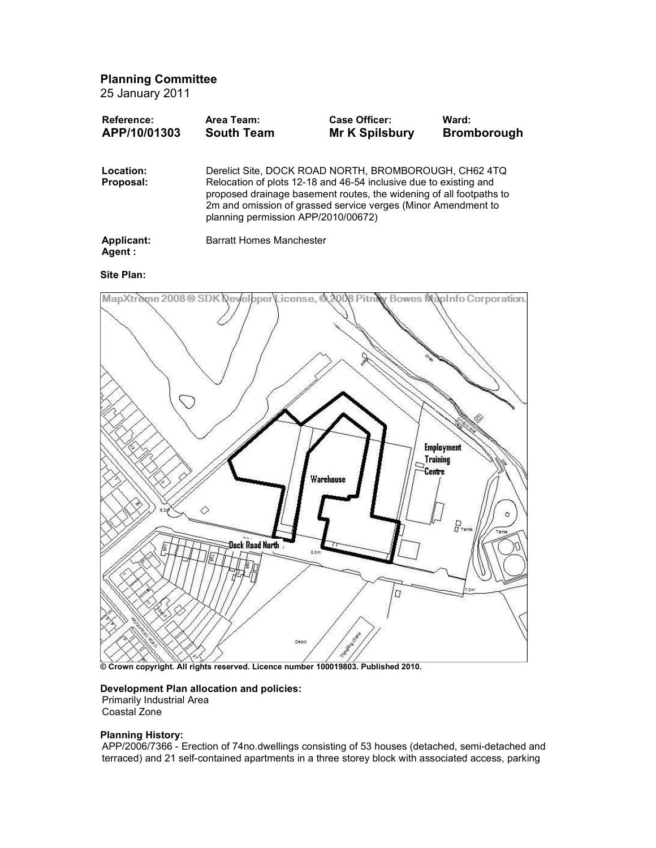Planning Committee

25 January 2011

| Reference:<br>APP/10/01303 | Area Team:<br><b>South Team</b>                                                                                                                                                                                                                                                                           | Case Officer:<br>Mr K Spilsbury | Ward:<br><b>Bromborough</b> |
|----------------------------|-----------------------------------------------------------------------------------------------------------------------------------------------------------------------------------------------------------------------------------------------------------------------------------------------------------|---------------------------------|-----------------------------|
| Location:<br>Proposal:     | Derelict Site, DOCK ROAD NORTH, BROMBOROUGH, CH62 4TQ<br>Relocation of plots 12-18 and 46-54 inclusive due to existing and<br>proposed drainage basement routes, the widening of all footpaths to<br>2m and omission of grassed service verges (Minor Amendment to<br>planning permission APP/2010/00672) |                                 |                             |
| Applicant:<br>Agent:       | <b>Barratt Homes Manchester</b>                                                                                                                                                                                                                                                                           |                                 |                             |
| Site Plan:                 |                                                                                                                                                                                                                                                                                                           |                                 |                             |

# MapXtreme 2008 ® SDK Developer License, @ 2008 Pitn& Bowes NapInfo Corporation. **Employment Training** Centre Warehouse ♦  $\frac{D}{Q}$ Dock Road North 2.0 D

© Crown copyright. All rights reserved. Licence number 100019803. Published 2010.

## Development Plan allocation and policies:

Primarily Industrial Area

Coastal Zone

### Planning History:

APP/2006/7366 - Erection of 74no.dwellings consisting of 53 houses (detached, semi-detached and terraced) and 21 self-contained apartments in a three storey block with associated access, parking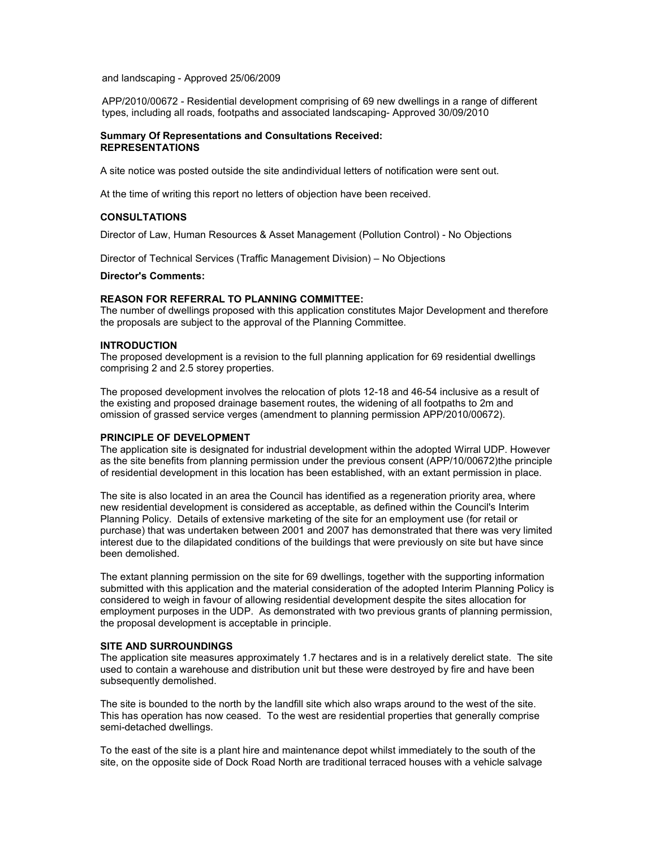and landscaping - Approved 25/06/2009

APP/2010/00672 - Residential development comprising of 69 new dwellings in a range of different types, including all roads, footpaths and associated landscaping- Approved 30/09/2010

#### Summary Of Representations and Consultations Received: REPRESENTATIONS

A site notice was posted outside the site andindividual letters of notification were sent out.

At the time of writing this report no letters of objection have been received.

#### CONSULTATIONS

Director of Law, Human Resources & Asset Management (Pollution Control) - No Objections

Director of Technical Services (Traffic Management Division) – No Objections

#### Director's Comments:

#### REASON FOR REFERRAL TO PLANNING COMMITTEE:

The number of dwellings proposed with this application constitutes Major Development and therefore the proposals are subject to the approval of the Planning Committee.

#### INTRODUCTION

The proposed development is a revision to the full planning application for 69 residential dwellings comprising 2 and 2.5 storey properties.

The proposed development involves the relocation of plots 12-18 and 46-54 inclusive as a result of the existing and proposed drainage basement routes, the widening of all footpaths to 2m and omission of grassed service verges (amendment to planning permission APP/2010/00672).

#### PRINCIPLE OF DEVELOPMENT

The application site is designated for industrial development within the adopted Wirral UDP. However as the site benefits from planning permission under the previous consent (APP/10/00672)the principle of residential development in this location has been established, with an extant permission in place.

The site is also located in an area the Council has identified as a regeneration priority area, where new residential development is considered as acceptable, as defined within the Council's Interim Planning Policy. Details of extensive marketing of the site for an employment use (for retail or purchase) that was undertaken between 2001 and 2007 has demonstrated that there was very limited interest due to the dilapidated conditions of the buildings that were previously on site but have since been demolished.

The extant planning permission on the site for 69 dwellings, together with the supporting information submitted with this application and the material consideration of the adopted Interim Planning Policy is considered to weigh in favour of allowing residential development despite the sites allocation for employment purposes in the UDP. As demonstrated with two previous grants of planning permission, the proposal development is acceptable in principle.

#### SITE AND SURROUNDINGS

The application site measures approximately 1.7 hectares and is in a relatively derelict state. The site used to contain a warehouse and distribution unit but these were destroyed by fire and have been subsequently demolished.

The site is bounded to the north by the landfill site which also wraps around to the west of the site. This has operation has now ceased. To the west are residential properties that generally comprise semi-detached dwellings.

To the east of the site is a plant hire and maintenance depot whilst immediately to the south of the site, on the opposite side of Dock Road North are traditional terraced houses with a vehicle salvage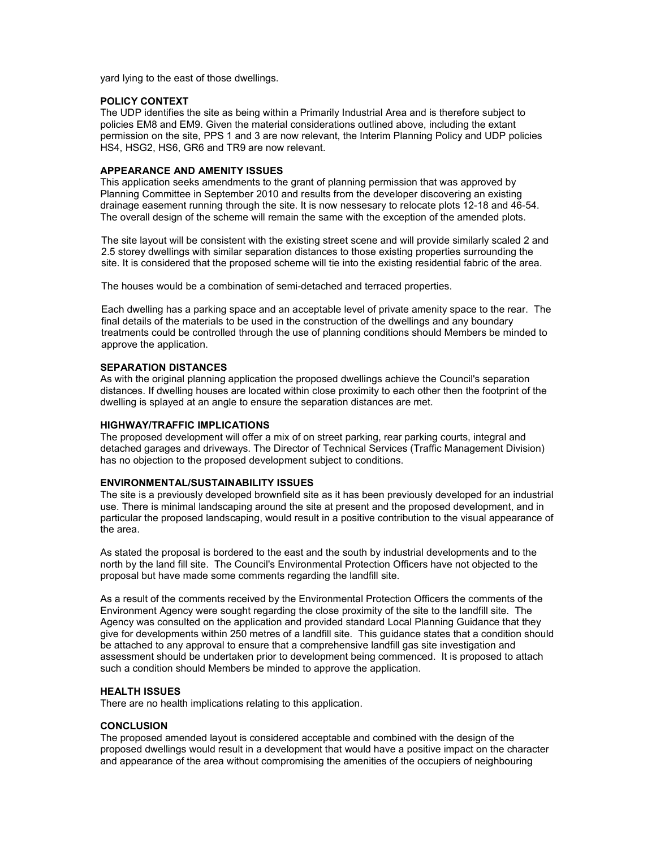yard lying to the east of those dwellings.

#### POLICY CONTEXT

The UDP identifies the site as being within a Primarily Industrial Area and is therefore subject to policies EM8 and EM9. Given the material considerations outlined above, including the extant permission on the site, PPS 1 and 3 are now relevant, the Interim Planning Policy and UDP policies HS4, HSG2, HS6, GR6 and TR9 are now relevant.

#### APPEARANCE AND AMENITY ISSUES

This application seeks amendments to the grant of planning permission that was approved by Planning Committee in September 2010 and results from the developer discovering an existing drainage easement running through the site. It is now nessesary to relocate plots 12-18 and 46-54. The overall design of the scheme will remain the same with the exception of the amended plots.

The site layout will be consistent with the existing street scene and will provide similarly scaled 2 and 2.5 storey dwellings with similar separation distances to those existing properties surrounding the site. It is considered that the proposed scheme will tie into the existing residential fabric of the area.

The houses would be a combination of semi-detached and terraced properties.

Each dwelling has a parking space and an acceptable level of private amenity space to the rear. The final details of the materials to be used in the construction of the dwellings and any boundary treatments could be controlled through the use of planning conditions should Members be minded to approve the application.

#### SEPARATION DISTANCES

As with the original planning application the proposed dwellings achieve the Council's separation distances. If dwelling houses are located within close proximity to each other then the footprint of the dwelling is splayed at an angle to ensure the separation distances are met.

#### HIGHWAY/TRAFFIC IMPLICATIONS

The proposed development will offer a mix of on street parking, rear parking courts, integral and detached garages and driveways. The Director of Technical Services (Traffic Management Division) has no objection to the proposed development subject to conditions.

#### ENVIRONMENTAL/SUSTAINABILITY ISSUES

The site is a previously developed brownfield site as it has been previously developed for an industrial use. There is minimal landscaping around the site at present and the proposed development, and in particular the proposed landscaping, would result in a positive contribution to the visual appearance of the area.

As stated the proposal is bordered to the east and the south by industrial developments and to the north by the land fill site. The Council's Environmental Protection Officers have not objected to the proposal but have made some comments regarding the landfill site.

As a result of the comments received by the Environmental Protection Officers the comments of the Environment Agency were sought regarding the close proximity of the site to the landfill site. The Agency was consulted on the application and provided standard Local Planning Guidance that they give for developments within 250 metres of a landfill site. This guidance states that a condition should be attached to any approval to ensure that a comprehensive landfill gas site investigation and assessment should be undertaken prior to development being commenced. It is proposed to attach such a condition should Members be minded to approve the application.

#### HEALTH ISSUES

There are no health implications relating to this application.

#### **CONCLUSION**

The proposed amended layout is considered acceptable and combined with the design of the proposed dwellings would result in a development that would have a positive impact on the character and appearance of the area without compromising the amenities of the occupiers of neighbouring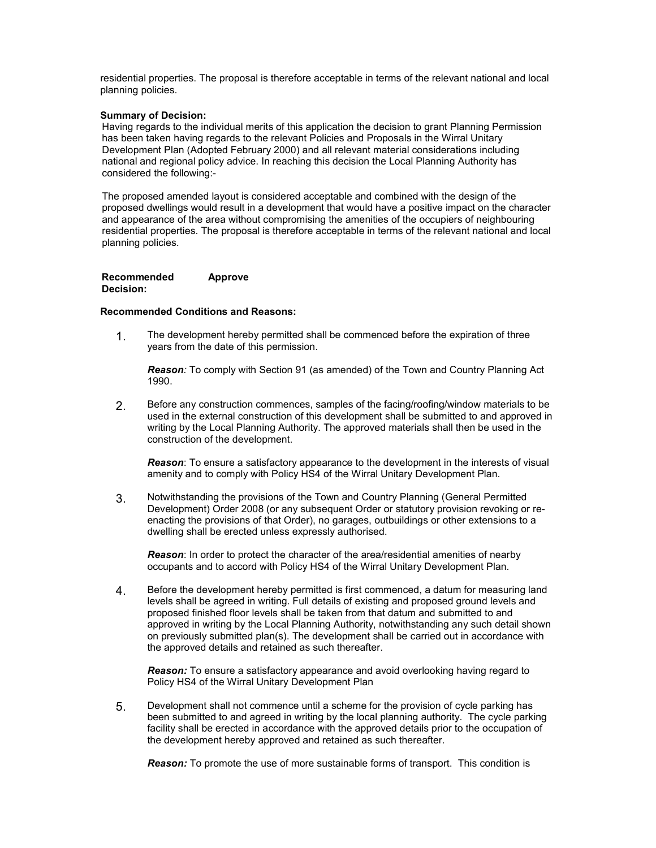residential properties. The proposal is therefore acceptable in terms of the relevant national and local planning policies.

#### Summary of Decision:

Having regards to the individual merits of this application the decision to grant Planning Permission has been taken having regards to the relevant Policies and Proposals in the Wirral Unitary Development Plan (Adopted February 2000) and all relevant material considerations including national and regional policy advice. In reaching this decision the Local Planning Authority has considered the following:-

The proposed amended layout is considered acceptable and combined with the design of the proposed dwellings would result in a development that would have a positive impact on the character and appearance of the area without compromising the amenities of the occupiers of neighbouring residential properties. The proposal is therefore acceptable in terms of the relevant national and local planning policies.

#### Recommended Decision: Approve

#### Recommended Conditions and Reasons:

1. The development hereby permitted shall be commenced before the expiration of three years from the date of this permission.

Reason: To comply with Section 91 (as amended) of the Town and Country Planning Act 1990.

2. Before any construction commences, samples of the facing/roofing/window materials to be used in the external construction of this development shall be submitted to and approved in writing by the Local Planning Authority. The approved materials shall then be used in the construction of the development.

**Reason:** To ensure a satisfactory appearance to the development in the interests of visual amenity and to comply with Policy HS4 of the Wirral Unitary Development Plan.

3. Notwithstanding the provisions of the Town and Country Planning (General Permitted Development) Order 2008 (or any subsequent Order or statutory provision revoking or reenacting the provisions of that Order), no garages, outbuildings or other extensions to a dwelling shall be erected unless expressly authorised.

Reason: In order to protect the character of the area/residential amenities of nearby occupants and to accord with Policy HS4 of the Wirral Unitary Development Plan.

4. Before the development hereby permitted is first commenced, a datum for measuring land levels shall be agreed in writing. Full details of existing and proposed ground levels and proposed finished floor levels shall be taken from that datum and submitted to and approved in writing by the Local Planning Authority, notwithstanding any such detail shown on previously submitted plan(s). The development shall be carried out in accordance with the approved details and retained as such thereafter.

Reason: To ensure a satisfactory appearance and avoid overlooking having regard to Policy HS4 of the Wirral Unitary Development Plan

5. Development shall not commence until a scheme for the provision of cycle parking has been submitted to and agreed in writing by the local planning authority. The cycle parking facility shall be erected in accordance with the approved details prior to the occupation of the development hereby approved and retained as such thereafter.

**Reason:** To promote the use of more sustainable forms of transport. This condition is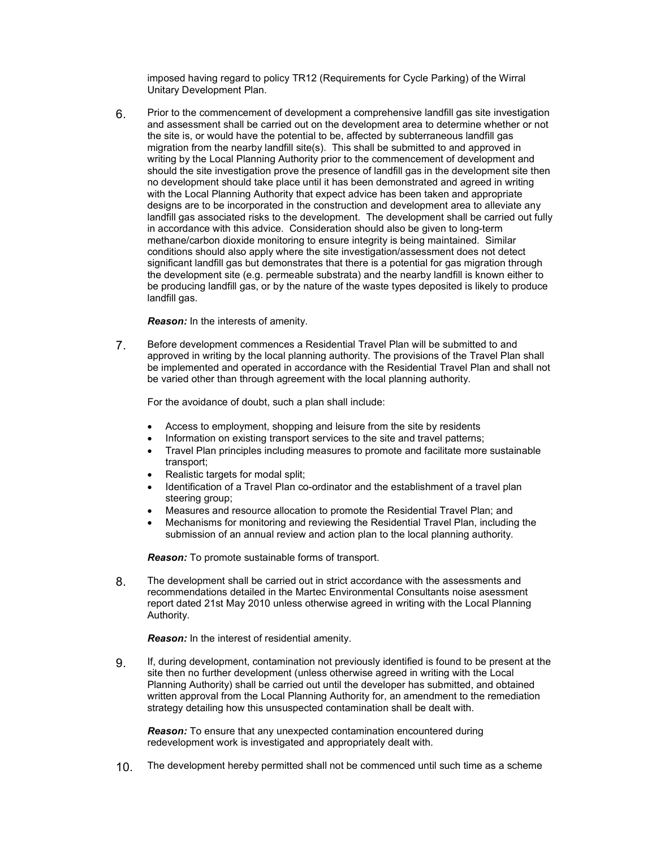imposed having regard to policy TR12 (Requirements for Cycle Parking) of the Wirral Unitary Development Plan.

6. Prior to the commencement of development a comprehensive landfill gas site investigation and assessment shall be carried out on the development area to determine whether or not the site is, or would have the potential to be, affected by subterraneous landfill gas migration from the nearby landfill site(s). This shall be submitted to and approved in writing by the Local Planning Authority prior to the commencement of development and should the site investigation prove the presence of landfill gas in the development site then no development should take place until it has been demonstrated and agreed in writing with the Local Planning Authority that expect advice has been taken and appropriate designs are to be incorporated in the construction and development area to alleviate any landfill gas associated risks to the development. The development shall be carried out fully in accordance with this advice. Consideration should also be given to long-term methane/carbon dioxide monitoring to ensure integrity is being maintained. Similar conditions should also apply where the site investigation/assessment does not detect significant landfill gas but demonstrates that there is a potential for gas migration through the development site (e.g. permeable substrata) and the nearby landfill is known either to be producing landfill gas, or by the nature of the waste types deposited is likely to produce landfill gas.

Reason: In the interests of amenity.

7. Before development commences a Residential Travel Plan will be submitted to and approved in writing by the local planning authority. The provisions of the Travel Plan shall be implemented and operated in accordance with the Residential Travel Plan and shall not be varied other than through agreement with the local planning authority.

For the avoidance of doubt, such a plan shall include:

- Access to employment, shopping and leisure from the site by residents
- Information on existing transport services to the site and travel patterns:
- Travel Plan principles including measures to promote and facilitate more sustainable transport;
- Realistic targets for modal split;
- Identification of a Travel Plan co-ordinator and the establishment of a travel plan steering group;
- Measures and resource allocation to promote the Residential Travel Plan; and
- Mechanisms for monitoring and reviewing the Residential Travel Plan, including the submission of an annual review and action plan to the local planning authority.

**Reason:** To promote sustainable forms of transport.

8. The development shall be carried out in strict accordance with the assessments and recommendations detailed in the Martec Environmental Consultants noise asessment report dated 21st May 2010 unless otherwise agreed in writing with the Local Planning Authority.

Reason: In the interest of residential amenity.

9. If, during development, contamination not previously identified is found to be present at the site then no further development (unless otherwise agreed in writing with the Local Planning Authority) shall be carried out until the developer has submitted, and obtained written approval from the Local Planning Authority for, an amendment to the remediation strategy detailing how this unsuspected contamination shall be dealt with.

**Reason:** To ensure that any unexpected contamination encountered during redevelopment work is investigated and appropriately dealt with.

10. The development hereby permitted shall not be commenced until such time as a scheme